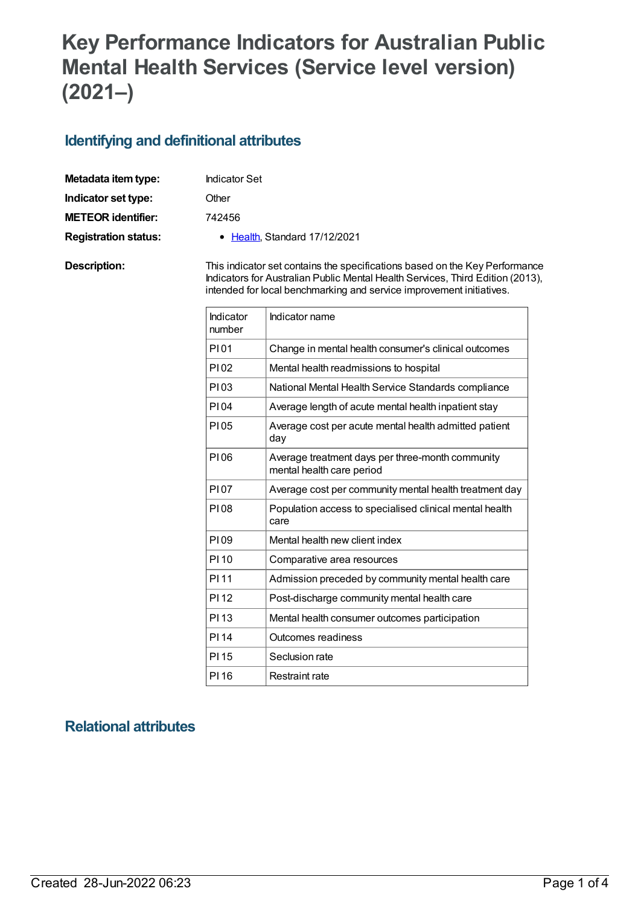# **Key Performance Indicators for Australian Public Mental Health Services (Service level version) (2021–)**

#### **Identifying and definitional attributes**

| Metadata item type:         | <b>Indicator Set</b>                                                        |
|-----------------------------|-----------------------------------------------------------------------------|
| Indicator set type:         | Other                                                                       |
| <b>METEOR identifier:</b>   | 742456                                                                      |
| <b>Registration status:</b> | • Health, Standard 17/12/2021                                               |
| Description:                | This indicator set contains the specifications based on the Key Performance |

Indicators for Australian Public Mental Health Services, Third Edition (2013), intended for local benchmarking and service improvement initiatives.

| Indicator<br>number | Indicator name                                                                |
|---------------------|-------------------------------------------------------------------------------|
| P101                | Change in mental health consumer's clinical outcomes                          |
| P102                | Mental health readmissions to hospital                                        |
| PI03                | National Mental Health Service Standards compliance                           |
| <b>PI04</b>         | Average length of acute mental health inpatient stay                          |
| P105                | Average cost per acute mental health admitted patient<br>day                  |
| P106                | Average treatment days per three-month community<br>mental health care period |
| P107                | Average cost per community mental health treatment day                        |
| P108                | Population access to specialised clinical mental health<br>care               |
| P109                | Mental health new client index                                                |
| PI 10               | Comparative area resources                                                    |
| PI 11               | Admission preceded by community mental health care                            |
| <b>PI12</b>         | Post-discharge community mental health care                                   |
| PI 13               | Mental health consumer outcomes participation                                 |
| <b>PI14</b>         | Outcomes readiness                                                            |
| PI 15               | Seclusion rate                                                                |
| <b>PI16</b>         | <b>Restraint rate</b>                                                         |

## **Relational attributes**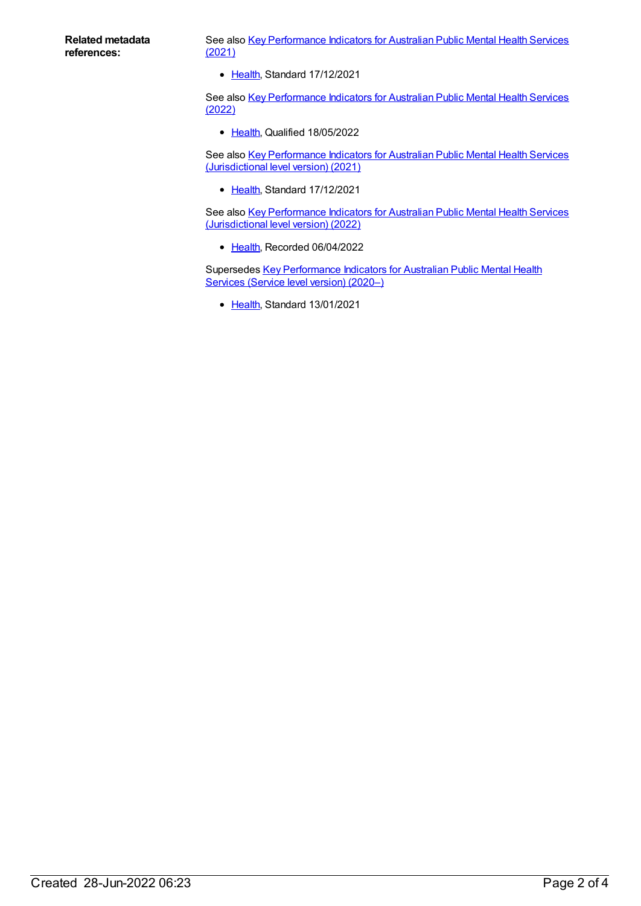See also Key [Performance](https://meteor.aihw.gov.au/content/742552) Indicators for Australian Public Mental Health Services (2021)

• [Health](https://meteor.aihw.gov.au/RegistrationAuthority/12), Standard 17/12/2021

See also Key [Performance](https://meteor.aihw.gov.au/content/753233) Indicators for Australian Public Mental Health Services (2022)

• [Health](https://meteor.aihw.gov.au/RegistrationAuthority/12), Qualified 18/05/2022

See also Key [Performance](https://meteor.aihw.gov.au/content/739864) Indicators for Australian Public Mental Health Services (Jurisdictional level version) (2021)

• [Health](https://meteor.aihw.gov.au/RegistrationAuthority/12), Standard 17/12/2021

See also Key [Performance](https://meteor.aihw.gov.au/content/753231) Indicators for Australian Public Mental Health Services (Jurisdictional level version) (2022)

• [Health](https://meteor.aihw.gov.au/RegistrationAuthority/12), Recorded 06/04/2022

Supersedes Key [Performance](https://meteor.aihw.gov.au/content/720490) Indicators for Australian Public Mental Health Services (Service level version) (2020–)

• [Health](https://meteor.aihw.gov.au/RegistrationAuthority/12), Standard 13/01/2021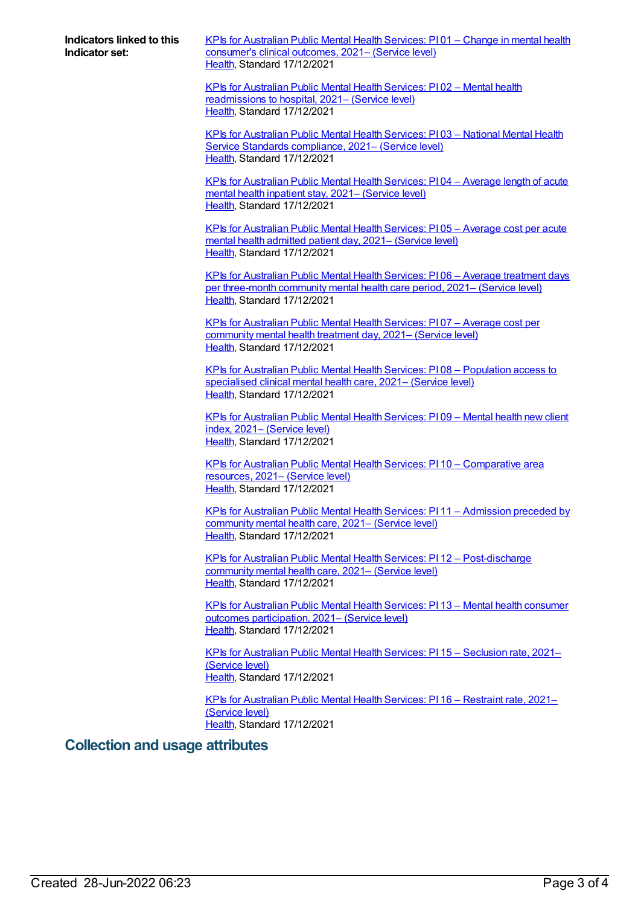**Indicators linked to this Indicator set:**

KPIs for [Australian](https://meteor.aihw.gov.au/content/742458) Public Mental Health Services: PI 01 – Change in mental health consumer's clinical outcomes, 2021– (Service level) [Health](https://meteor.aihw.gov.au/RegistrationAuthority/12), Standard 17/12/2021

KPIs for Australian Public Mental Health Services: PI 02 – Mental health [readmissions](https://meteor.aihw.gov.au/content/742460) to hospital, 2021– (Service level) [Health](https://meteor.aihw.gov.au/RegistrationAuthority/12), Standard 17/12/2021

KPIs for [Australian](https://meteor.aihw.gov.au/content/742463) Public Mental Health Services: PI 03 – National Mental Health Service Standards compliance, 2021– (Service level) [Health](https://meteor.aihw.gov.au/RegistrationAuthority/12), Standard 17/12/2021

KPIs for [Australian](https://meteor.aihw.gov.au/content/742471) Public Mental Health Services: PI 04 – Average length of acute mental health inpatient stay, 2021– (Service level) [Health](https://meteor.aihw.gov.au/RegistrationAuthority/12), Standard 17/12/2021

KPIs for [Australian](https://meteor.aihw.gov.au/content/742465) Public Mental Health Services: PI 05 – Average cost per acute mental health admitted patient day, 2021– (Service level) [Health](https://meteor.aihw.gov.au/RegistrationAuthority/12), Standard 17/12/2021

KPIs for Australian Public Mental Health Services: PI 06 – Average treatment days per [three-month](https://meteor.aihw.gov.au/content/742469) community mental health care period, 2021– (Service level) [Health](https://meteor.aihw.gov.au/RegistrationAuthority/12), Standard 17/12/2021

KPIs for [Australian](https://meteor.aihw.gov.au/content/742475) Public Mental Health Services: PI 07 – Average cost per community mental health treatment day, 2021– (Service level) [Health](https://meteor.aihw.gov.au/RegistrationAuthority/12), Standard 17/12/2021

KPIs for Australian Public Mental Health Services: PI 08 – [Population](https://meteor.aihw.gov.au/content/742478) access to specialised clinical mental health care, 2021– (Service level) [Health](https://meteor.aihw.gov.au/RegistrationAuthority/12), Standard 17/12/2021

KPIs for [Australian](https://meteor.aihw.gov.au/content/742481) Public Mental Health Services: PI 09 – Mental health new client index, 2021– (Service level) [Health](https://meteor.aihw.gov.au/RegistrationAuthority/12), Standard 17/12/2021

KPIs for Australian Public Mental Health Services: PI 10 – [Comparative](https://meteor.aihw.gov.au/content/742484) area resources, 2021– (Service level) [Health](https://meteor.aihw.gov.au/RegistrationAuthority/12), Standard 17/12/2021

KPIs for Australian Public Mental Health Services: PI 11 – [Admission](https://meteor.aihw.gov.au/content/742487) preceded by community mental health care, 2021– (Service level) [Health](https://meteor.aihw.gov.au/RegistrationAuthority/12), Standard 17/12/2021

KPIs for Australian Public Mental Health Services: PI 12 – [Post-discharge](https://meteor.aihw.gov.au/content/742489) community mental health care, 2021– (Service level) [Health](https://meteor.aihw.gov.au/RegistrationAuthority/12), Standard 17/12/2021

KPIs for Australian Public Mental Health Services: PI 13 – Mental health consumer outcomes [participation,](https://meteor.aihw.gov.au/content/742495) 2021– (Service level) [Health](https://meteor.aihw.gov.au/RegistrationAuthority/12), Standard 17/12/2021

KPIs for [Australian](https://meteor.aihw.gov.au/content/742491) Public Mental Health Services: PI 15 – Seclusion rate, 2021– (Service level) [Health](https://meteor.aihw.gov.au/RegistrationAuthority/12), Standard 17/12/2021

KPIs for [Australian](https://meteor.aihw.gov.au/content/742493) Public Mental Health Services: PI 16 – Restraint rate, 2021– (Service level) [Health](https://meteor.aihw.gov.au/RegistrationAuthority/12), Standard 17/12/2021

#### **Collection and usage attributes**